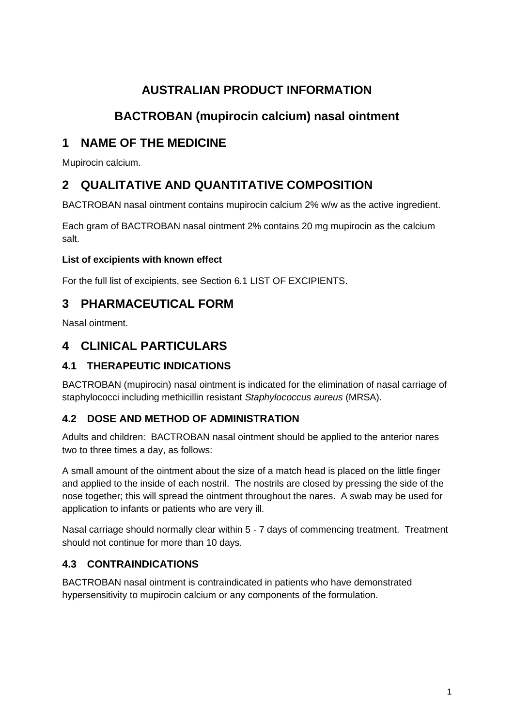# **AUSTRALIAN PRODUCT INFORMATION**

# **BACTROBAN (mupirocin calcium) nasal ointment**

# **1 NAME OF THE MEDICINE**

Mupirocin calcium.

# **2 QUALITATIVE AND QUANTITATIVE COMPOSITION**

BACTROBAN nasal ointment contains mupirocin calcium 2% w/w as the active ingredient.

Each gram of BACTROBAN nasal ointment 2% contains 20 mg mupirocin as the calcium salt.

## **List of excipients with known effect**

For the full list of excipients, see Section 6.1 LIST OF EXCIPIENTS.

# **3 PHARMACEUTICAL FORM**

Nasal ointment.

# **4 CLINICAL PARTICULARS**

## **4.1 THERAPEUTIC INDICATIONS**

BACTROBAN (mupirocin) nasal ointment is indicated for the elimination of nasal carriage of staphylococci including methicillin resistant *Staphylococcus aureus* (MRSA).

## **4.2 DOSE AND METHOD OF ADMINISTRATION**

Adults and children: BACTROBAN nasal ointment should be applied to the anterior nares two to three times a day, as follows:

A small amount of the ointment about the size of a match head is placed on the little finger and applied to the inside of each nostril. The nostrils are closed by pressing the side of the nose together; this will spread the ointment throughout the nares. A swab may be used for application to infants or patients who are very ill.

Nasal carriage should normally clear within 5 - 7 days of commencing treatment. Treatment should not continue for more than 10 days.

## **4.3 CONTRAINDICATIONS**

BACTROBAN nasal ointment is contraindicated in patients who have demonstrated hypersensitivity to mupirocin calcium or any components of the formulation.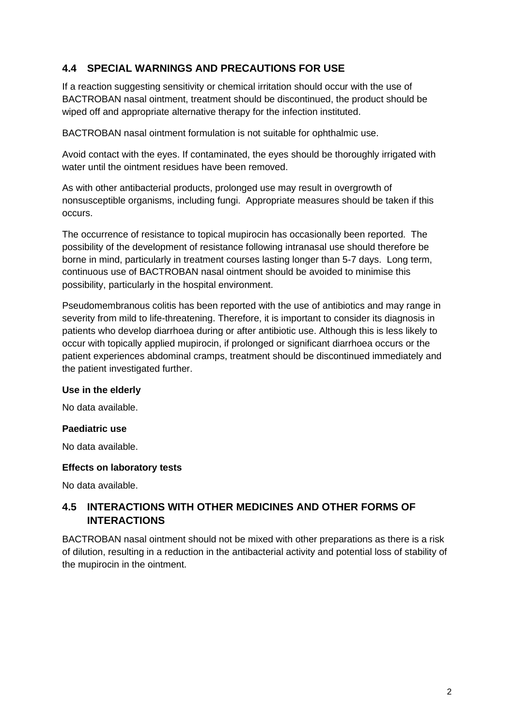### **4.4 SPECIAL WARNINGS AND PRECAUTIONS FOR USE**

If a reaction suggesting sensitivity or chemical irritation should occur with the use of BACTROBAN nasal ointment, treatment should be discontinued, the product should be wiped off and appropriate alternative therapy for the infection instituted.

BACTROBAN nasal ointment formulation is not suitable for ophthalmic use.

Avoid contact with the eyes. If contaminated, the eyes should be thoroughly irrigated with water until the ointment residues have been removed.

As with other antibacterial products, prolonged use may result in overgrowth of nonsusceptible organisms, including fungi. Appropriate measures should be taken if this occurs.

The occurrence of resistance to topical mupirocin has occasionally been reported. The possibility of the development of resistance following intranasal use should therefore be borne in mind, particularly in treatment courses lasting longer than 5-7 days. Long term, continuous use of BACTROBAN nasal ointment should be avoided to minimise this possibility, particularly in the hospital environment.

Pseudomembranous colitis has been reported with the use of antibiotics and may range in severity from mild to life-threatening. Therefore, it is important to consider its diagnosis in patients who develop diarrhoea during or after antibiotic use. Although this is less likely to occur with topically applied mupirocin, if prolonged or significant diarrhoea occurs or the patient experiences abdominal cramps, treatment should be discontinued immediately and the patient investigated further.

#### **Use in the elderly**

No data available.

#### **Paediatric use**

No data available.

#### **Effects on laboratory tests**

No data available.

## **4.5 INTERACTIONS WITH OTHER MEDICINES AND OTHER FORMS OF INTERACTIONS**

BACTROBAN nasal ointment should not be mixed with other preparations as there is a risk of dilution, resulting in a reduction in the antibacterial activity and potential loss of stability of the mupirocin in the ointment.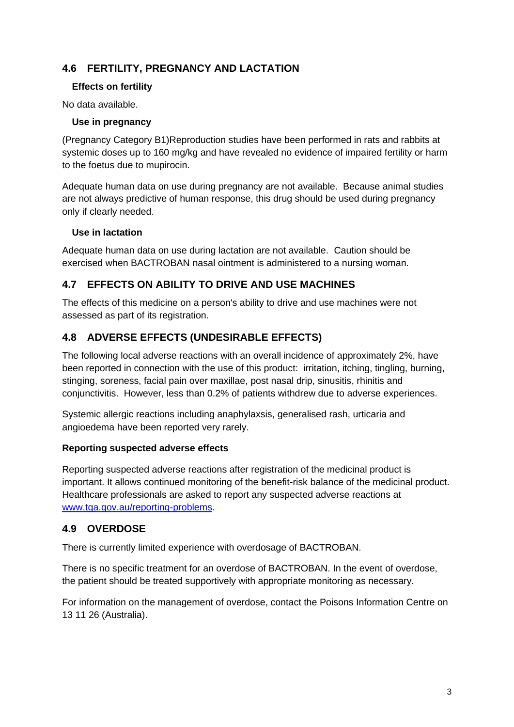## **4.6 FERTILITY, PREGNANCY AND LACTATION**

#### **Effects on fertility**

No data available.

### **Use in pregnancy**

(Pregnancy Category B1)Reproduction studies have been performed in rats and rabbits at systemic doses up to 160 mg/kg and have revealed no evidence of impaired fertility or harm to the foetus due to mupirocin.

Adequate human data on use during pregnancy are not available. Because animal studies are not always predictive of human response, this drug should be used during pregnancy only if clearly needed.

### **Use in lactation**

Adequate human data on use during lactation are not available. Caution should be exercised when BACTROBAN nasal ointment is administered to a nursing woman.

### **4.7 EFFECTS ON ABILITY TO DRIVE AND USE MACHINES**

The effects of this medicine on a person's ability to drive and use machines were not assessed as part of its registration.

## **4.8 ADVERSE EFFECTS (UNDESIRABLE EFFECTS)**

The following local adverse reactions with an overall incidence of approximately 2%, have been reported in connection with the use of this product: irritation, itching, tingling, burning, stinging, soreness, facial pain over maxillae, post nasal drip, sinusitis, rhinitis and conjunctivitis. However, less than 0.2% of patients withdrew due to adverse experiences.

Systemic allergic reactions including anaphylaxsis, generalised rash, urticaria and angioedema have been reported very rarely.

#### **Reporting suspected adverse effects**

Reporting suspected adverse reactions after registration of the medicinal product is important. It allows continued monitoring of the benefit-risk balance of the medicinal product. Healthcare professionals are asked to report any suspected adverse reactions at [www.tga.gov.au/reporting-problems.](http://www.tga.gov.au/reporting-problems)

### **4.9 OVERDOSE**

There is currently limited experience with overdosage of BACTROBAN.

There is no specific treatment for an overdose of BACTROBAN. In the event of overdose, the patient should be treated supportively with appropriate monitoring as necessary.

For information on the management of overdose, contact the Poisons Information Centre on 13 11 26 (Australia).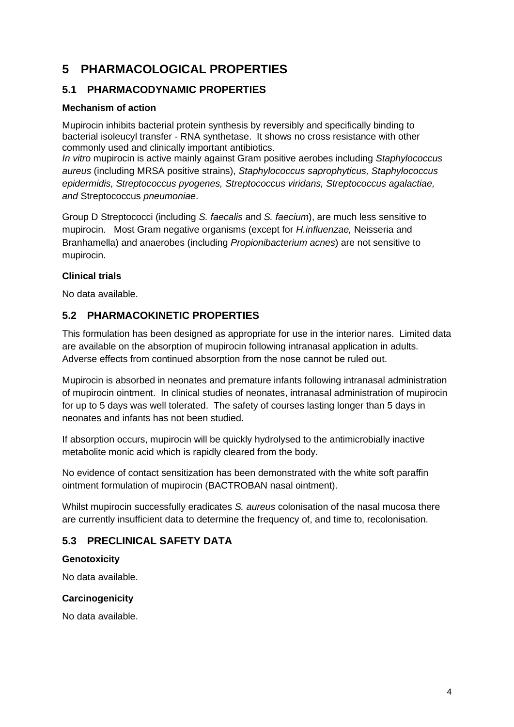# **5 PHARMACOLOGICAL PROPERTIES**

### **5.1 PHARMACODYNAMIC PROPERTIES**

#### **Mechanism of action**

Mupirocin inhibits bacterial protein synthesis by reversibly and specifically binding to bacterial isoleucyl transfer - RNA synthetase. It shows no cross resistance with other commonly used and clinically important antibiotics.

*In vitro* mupirocin is active mainly against Gram positive aerobes including *Staphylococcus aureus* (including MRSA positive strains), *Staphylococcus saprophyticus, Staphylococcus epidermidis, Streptococcus pyogenes, Streptococcus viridans, Streptococcus agalactiae, and* Streptococcus *pneumoniae*.

Group D Streptococci (including *S. faecalis* and *S. faecium*), are much less sensitive to mupirocin. Most Gram negative organisms (except for *H.influenzae,* Neisseria and Branhamella) and anaerobes (including *Propionibacterium acnes*) are not sensitive to mupirocin.

#### **Clinical trials**

No data available.

### **5.2 PHARMACOKINETIC PROPERTIES**

This formulation has been designed as appropriate for use in the interior nares. Limited data are available on the absorption of mupirocin following intranasal application in adults. Adverse effects from continued absorption from the nose cannot be ruled out.

Mupirocin is absorbed in neonates and premature infants following intranasal administration of mupirocin ointment. In clinical studies of neonates, intranasal administration of mupirocin for up to 5 days was well tolerated. The safety of courses lasting longer than 5 days in neonates and infants has not been studied.

If absorption occurs, mupirocin will be quickly hydrolysed to the antimicrobially inactive metabolite monic acid which is rapidly cleared from the body.

No evidence of contact sensitization has been demonstrated with the white soft paraffin ointment formulation of mupirocin (BACTROBAN nasal ointment).

Whilst mupirocin successfully eradicates *S. aureus* colonisation of the nasal mucosa there are currently insufficient data to determine the frequency of, and time to, recolonisation.

## **5.3 PRECLINICAL SAFETY DATA**

#### **Genotoxicity**

No data available.

#### **Carcinogenicity**

No data available.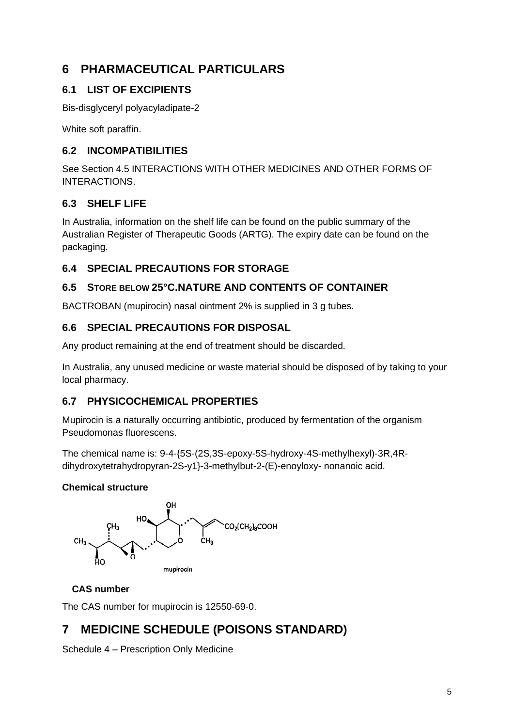# **6 PHARMACEUTICAL PARTICULARS**

## **6.1 LIST OF EXCIPIENTS**

Bis-disglyceryl polyacyladipate-2

White soft paraffin.

### **6.2 INCOMPATIBILITIES**

See Section 4.5 INTERACTIONS WITH OTHER MEDICINES AND OTHER FORMS OF INTERACTIONS.

## **6.3 SHELF LIFE**

In Australia, information on the shelf life can be found on the public summary of the Australian Register of Therapeutic Goods (ARTG). The expiry date can be found on the packaging.

## **6.4 SPECIAL PRECAUTIONS FOR STORAGE**

## **6.5 STORE BELOW 25°C.NATURE AND CONTENTS OF CONTAINER**

BACTROBAN (mupirocin) nasal ointment 2% is supplied in 3 g tubes.

## **6.6 SPECIAL PRECAUTIONS FOR DISPOSAL**

Any product remaining at the end of treatment should be discarded.

In Australia, any unused medicine or waste material should be disposed of by taking to your local pharmacy.

## **6.7 PHYSICOCHEMICAL PROPERTIES**

Mupirocin is a naturally occurring antibiotic, produced by fermentation of the organism Pseudomonas fluorescens.

The chemical name is: 9-4-{5S-(2S,3S-epoxy-5S-hydroxy-4S-methylhexyl)-3R,4Rdihydroxytetrahydropyran-2S-y1}-3-methylbut-2-(E)-enoyloxy- nonanoic acid.

### **Chemical structure**



## **CAS number**

The CAS number for mupirocin is 12550-69-0.

# **7 MEDICINE SCHEDULE (POISONS STANDARD)**

Schedule 4 – Prescription Only Medicine